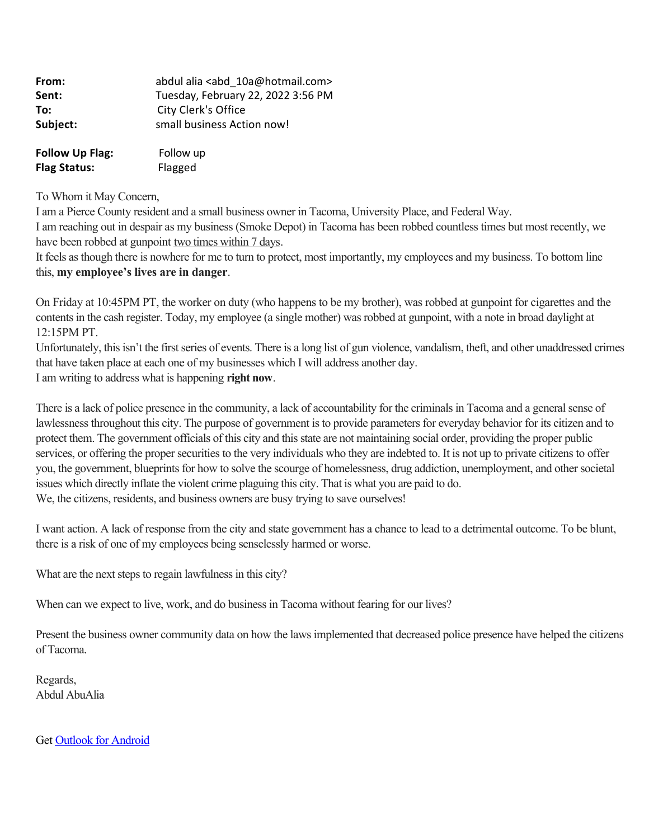| From:                  | abdul alia <abd 10a@hotmail.com=""></abd> |
|------------------------|-------------------------------------------|
| Sent:                  | Tuesday, February 22, 2022 3:56 PM        |
| To:                    | City Clerk's Office                       |
| Subject:               | small business Action now!                |
| <b>Follow Up Flag:</b> | Follow up                                 |
| <b>Flag Status:</b>    | Flagged                                   |

To Whom it May Concern,

I am a Pierce County resident and a small business owner in Tacoma, University Place, and Federal Way. I am reaching out in despair as my business (Smoke Depot) in Tacoma has been robbed countless times but most recently, we have been robbed at gunpoint two times within 7 days.

It feels as though there is nowhere for me to turn to protect, most importantly, my employees and my business. To bottom line this, **my employee's lives are in danger**.

On Friday at 10:45PM PT, the worker on duty (who happens to be my brother), was robbed at gunpoint for cigarettes and the contents in the cash register. Today, my employee (a single mother) was robbed at gunpoint, with a note in broad daylight at 12:15PM PT.

Unfortunately, this isn't the first series of events. There is a long list of gun violence, vandalism, theft, and other unaddressed crimes that have taken place at each one of my businesses which I will address another day. I am writing to address what is happening **right now**.

There is a lack of police presence in the community, a lack of accountability for the criminals in Tacoma and a general sense of lawlessness throughout this city. The purpose of government is to provide parameters for everyday behavior for its citizen and to protect them. The government officials of this city and this state are not maintaining social order, providing the proper public services, or offering the proper securities to the very individuals who they are indebted to. It is not up to private citizens to offer you, the government, blueprints for how to solve the scourge of homelessness, drug addiction, unemployment, and other societal issues which directly inflate the violent crime plaguing this city. That is what you are paid to do. We, the citizens, residents, and business owners are busy trying to save ourselves!

I want action. A lack of response from the city and state government has a chance to lead to a detrimental outcome. To be blunt, there is a risk of one of my employees being senselessly harmed or worse.

What are the next steps to regain lawfulness in this city?

When can we expect to live, work, and do business in Tacoma without fearing for our lives?

Present the business owner community data on how the laws implemented that decreased police presence have helped the citizens of Tacoma.

Regards, Abdul AbuAlia

Get [Outlook for Android](https://urldefense.com/v3/__https:/aka.ms/AAb9ysg__;!!CRCbkf1f!DWFAL4LMKdlZOGzWgcWMjkbfAN4hBe6n6eK0YbDTJ6KVBIOsUEj5Z3uivxQ1p_QL4FZ6Mg$)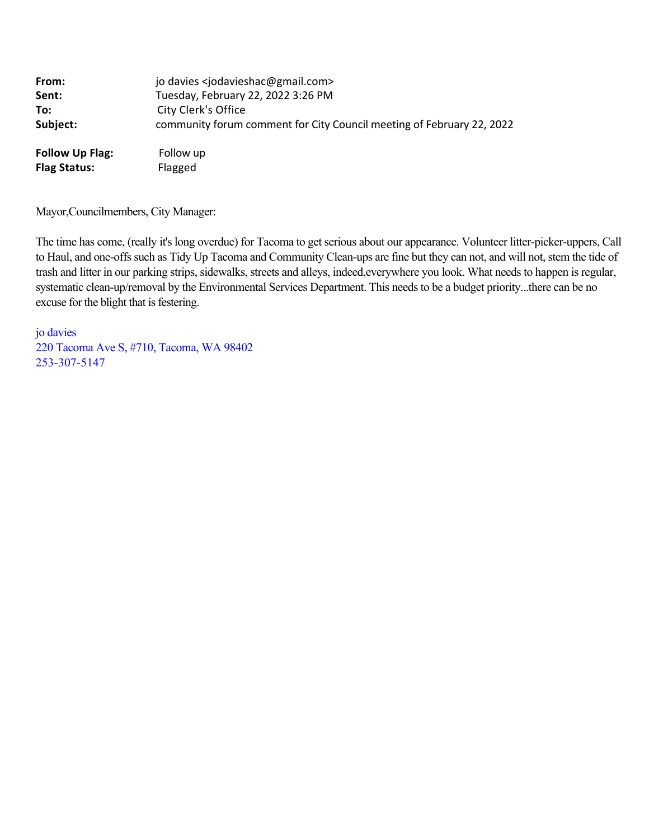| From:                  | jo davies <jodavieshac@gmail.com></jodavieshac@gmail.com>             |
|------------------------|-----------------------------------------------------------------------|
| Sent:                  | Tuesday, February 22, 2022 3:26 PM                                    |
| To:                    | City Clerk's Office                                                   |
| Subject:               | community forum comment for City Council meeting of February 22, 2022 |
| <b>Follow Up Flag:</b> | Follow up                                                             |
| <b>Flag Status:</b>    | Flagged                                                               |

Mayor,Councilmembers, City Manager:

The time has come, (really it's long overdue) for Tacoma to get serious about our appearance. Volunteer litter-picker-uppers, Call to Haul, and one-offs such as Tidy Up Tacoma and Community Clean-ups are fine but they can not, and will not, stem the tide of trash and litter in our parking strips, sidewalks, streets and alleys, indeed,everywhere you look. What needs to happen is regular, systematic clean-up/removal by the Environmental Services Department. This needs to be a budget priority...there can be no excuse for the blight that is festering.

jo davies 220 Tacoma Ave S, #710, Tacoma, WA 98402 253-307-5147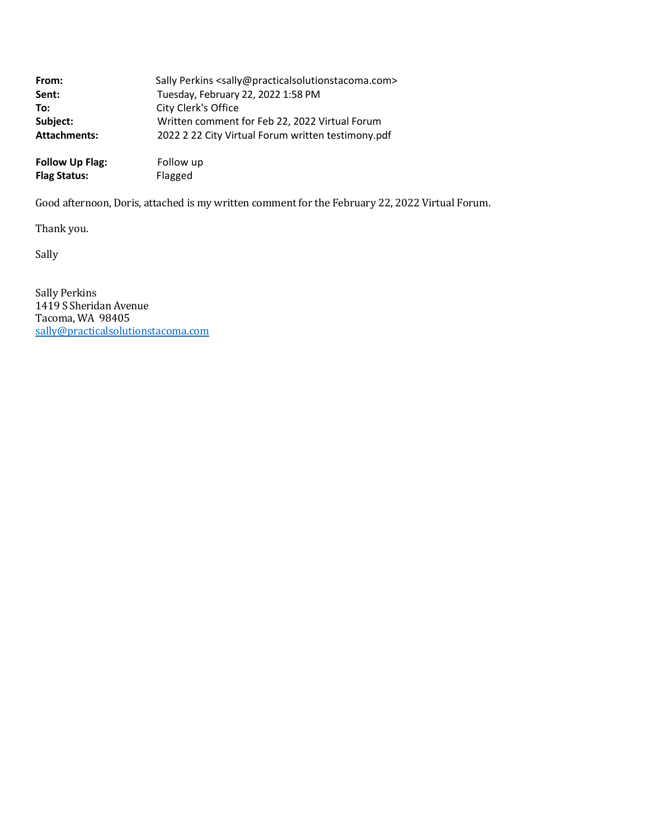| From:               | Sally Perkins <sally@practicalsolutionstacoma.com></sally@practicalsolutionstacoma.com> |
|---------------------|-----------------------------------------------------------------------------------------|
| Sent:               | Tuesday, February 22, 2022 1:58 PM                                                      |
| To:                 | City Clerk's Office                                                                     |
| Subject:            | Written comment for Feb 22, 2022 Virtual Forum                                          |
| <b>Attachments:</b> | 2022 2 22 City Virtual Forum written testimony.pdf                                      |
|                     |                                                                                         |

**Follow Up Flag:** Follow up<br> **Flag Status:** Flagged **Flag Status:** 

Good afternoon, Doris, attached is my written comment for the February 22, 2022 Virtual Forum.

Thank you.

Sally

Sally Perkins 1419 S Sheridan Avenue Tacoma, WA 98405 [sally@practicalsolutionstacoma.com](mailto:sally@practicalsolutionstacoma.com)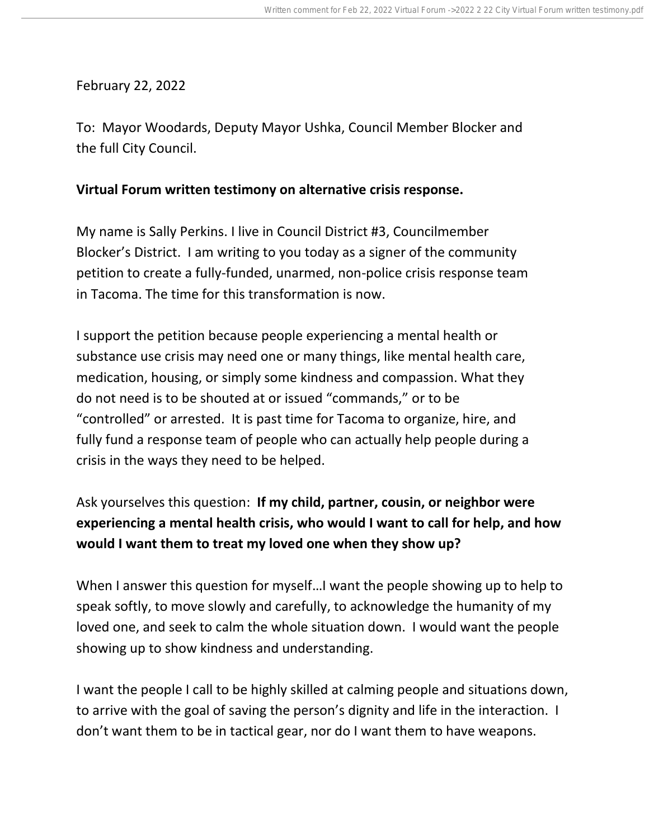February 22, 2022

To: Mayor Woodards, Deputy Mayor Ushka, Council Member Blocker and the full City Council.

## **Virtual Forum written testimony on alternative crisis response.**

My name is Sally Perkins. I live in Council District #3, Councilmember Blocker's District. I am writing to you today as a signer of the community petition to create a fully-funded, unarmed, non-police crisis response team in Tacoma. The time for this transformation is now.

I support the petition because people experiencing a mental health or substance use crisis may need one or many things, like mental health care, medication, housing, or simply some kindness and compassion. What they do not need is to be shouted at or issued "commands," or to be "controlled" or arrested. It is past time for Tacoma to organize, hire, and fully fund a response team of people who can actually help people during a crisis in the ways they need to be helped.

## Ask yourselves this question: **If my child, partner, cousin, or neighbor were experiencing a mental health crisis, who would I want to call for help, and how would I want them to treat my loved one when they show up?**

When I answer this question for myself…I want the people showing up to help to speak softly, to move slowly and carefully, to acknowledge the humanity of my loved one, and seek to calm the whole situation down. I would want the people showing up to show kindness and understanding.

I want the people I call to be highly skilled at calming people and situations down, to arrive with the goal of saving the person's dignity and life in the interaction. I don't want them to be in tactical gear, nor do I want them to have weapons.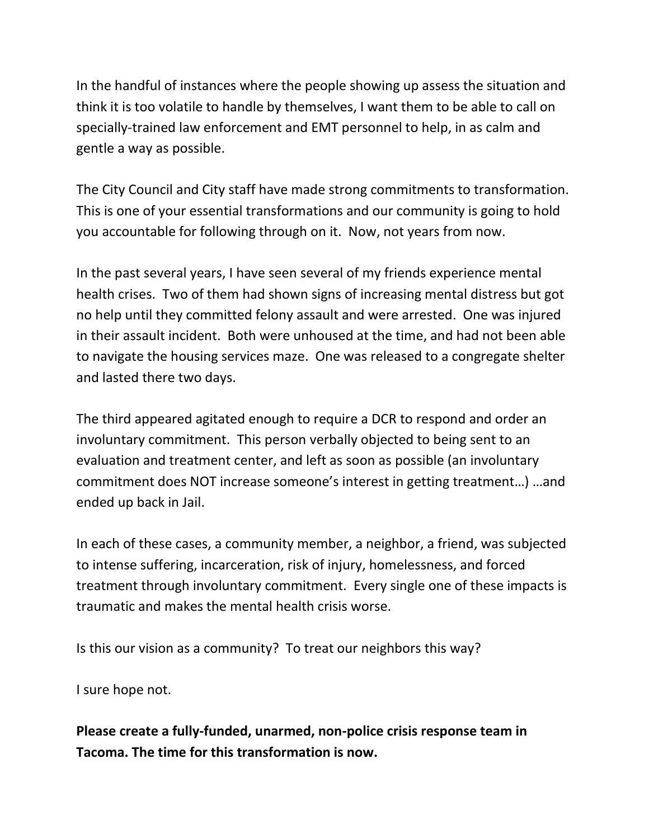In the handful of instances where the people showing up assess the situation and think it is too volatile to handle by themselves, I want them to be able to call on specially-trained law enforcement and EMT personnel to help, in as calm and gentle a way as possible.

The City Council and City staff have made strong commitments to transformation. This is one of your essential transformations and our community is going to hold you accountable for following through on it. Now, not years from now.

In the past several years, I have seen several of my friends experience mental health crises. Two of them had shown signs of increasing mental distress but got no help until they committed felony assault and were arrested. One was injured in their assault incident. Both were unhoused at the time, and had not been able to navigate the housing services maze. One was released to a congregate shelter and lasted there two days.

The third appeared agitated enough to require a DCR to respond and order an involuntary commitment. This person verbally objected to being sent to an evaluation and treatment center, and left as soon as possible (an involuntary commitment does NOT increase someone's interest in getting treatment…) …and ended up back in Jail.

In each of these cases, a community member, a neighbor, a friend, was subjected to intense suffering, incarceration, risk of injury, homelessness, and forced treatment through involuntary commitment. Every single one of these impacts is traumatic and makes the mental health crisis worse.

Is this our vision as a community? To treat our neighbors this way?

I sure hope not.

**Please create a fully-funded, unarmed, non-police crisis response team in Tacoma. The time for this transformation is now.**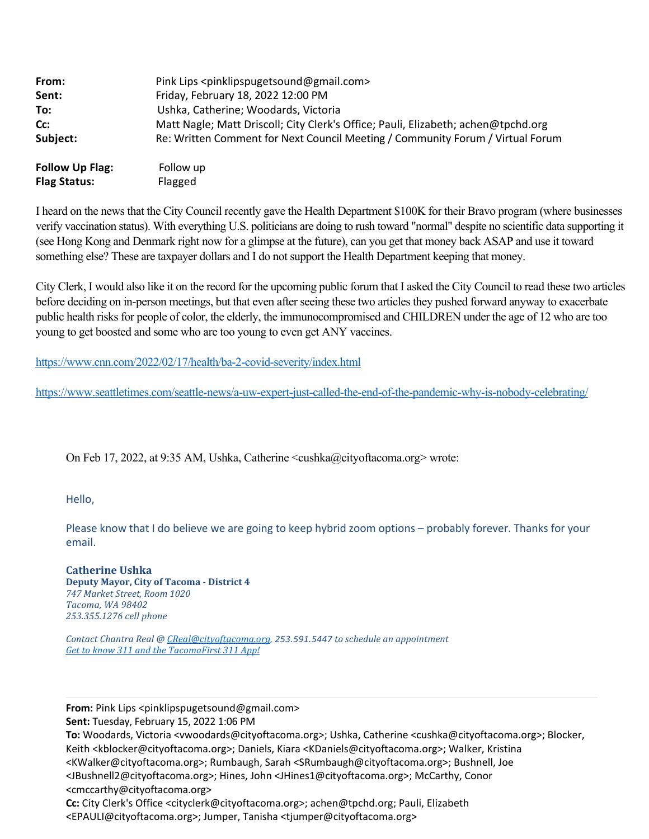| From:                  | Pink Lips <pinklipspugetsound@gmail.com></pinklipspugetsound@gmail.com>           |
|------------------------|-----------------------------------------------------------------------------------|
| Sent:                  | Friday, February 18, 2022 12:00 PM                                                |
| To:                    | Ushka, Catherine; Woodards, Victoria                                              |
| Cc:                    | Matt Nagle; Matt Driscoll; City Clerk's Office; Pauli, Elizabeth; achen@tpchd.org |
| Subject:               | Re: Written Comment for Next Council Meeting / Community Forum / Virtual Forum    |
| <b>Follow Up Flag:</b> | Follow up                                                                         |
| <b>Flag Status:</b>    | Flagged                                                                           |

I heard on the news that the City Council recently gave the Health Department \$100K for their Bravo program (where businesses verify vaccination status). With everything U.S. politicians are doing to rush toward "normal" despite no scientific data supporting it (see Hong Kong and Denmark right now for a glimpse at the future), can you get that money back ASAP and use it toward something else? These are taxpayer dollars and I do not support the Health Department keeping that money.

City Clerk, I would also like it on the record for the upcoming public forum that I asked the City Council to read these two articles before deciding on in-person meetings, but that even after seeing these two articles they pushed forward anyway to exacerbate public health risks for people of color, the elderly, the immunocompromised and CHILDREN under the age of 12 who are too young to get boosted and some who are too young to even get ANY vaccines.

[https://www.cnn.com/2022/02/17/health/ba-2-covid-severity/index.html](https://urldefense.com/v3/__https:/www.cnn.com/2022/02/17/health/ba-2-covid-severity/index.html__;!!CRCbkf1f!H3pMcJGSFO-r67nXNB48RzO8gnNzGOIaLlLFn91TIUnIO4tGqAMHaVLrR42NwczrxxeCag$)

[https://www.seattletimes.com/seattle-news/a-uw-expert-just-called-the-end-of-the-pandemic-why-is-nobody-celebrating/](https://urldefense.com/v3/__https:/www.seattletimes.com/seattle-news/a-uw-expert-just-called-the-end-of-the-pandemic-why-is-nobody-celebrating/__;!!CRCbkf1f!H3pMcJGSFO-r67nXNB48RzO8gnNzGOIaLlLFn91TIUnIO4tGqAMHaVLrR42NwcwbEMxXZA$)

On Feb 17, 2022, at 9:35 AM, Ushka, Catherine <cushka@cityoftacoma.org> wrote:

Hello,

Please know that I do believe we are going to keep hybrid zoom options – probably forever. Thanks for your email.

**Catherine Ushka Deputy Mayor, City of Tacoma ‑ District 4** *747 Market Street, Room 1020 Tacoma, WA 98402 253.355.1276 cell phone*

*Contact Chantra Real @ [CReal@cityoftacoma.org](mailto:CReal@cityoftacoma.org), 253.591.5447 to schedule an appointment [Get to know 311 and the TacomaFirst 311 App!](https://www.cityoftacoma.org/tacomafirst311)*

**From:** Pink Lips <pinklipspugetsound@gmail.com>

**Sent:** Tuesday, February 15, 2022 1:06 PM

**To:** Woodards, Victoria <vwoodards@cityoftacoma.org>; Ushka, Catherine <cushka@cityoftacoma.org>; Blocker, Keith <kblocker@cityoftacoma.org>; Daniels, Kiara <KDaniels@cityoftacoma.org>; Walker, Kristina <KWalker@cityoftacoma.org>; Rumbaugh, Sarah <SRumbaugh@cityoftacoma.org>; Bushnell, Joe

<JBushnell2@cityoftacoma.org>; Hines, John <JHines1@cityoftacoma.org>; McCarthy, Conor <cmccarthy@cityoftacoma.org>

**Cc:** City Clerk's Office <cityclerk@cityoftacoma.org>; achen@tpchd.org; Pauli, Elizabeth <EPAULI@cityoftacoma.org>; Jumper, Tanisha <tjumper@cityoftacoma.org>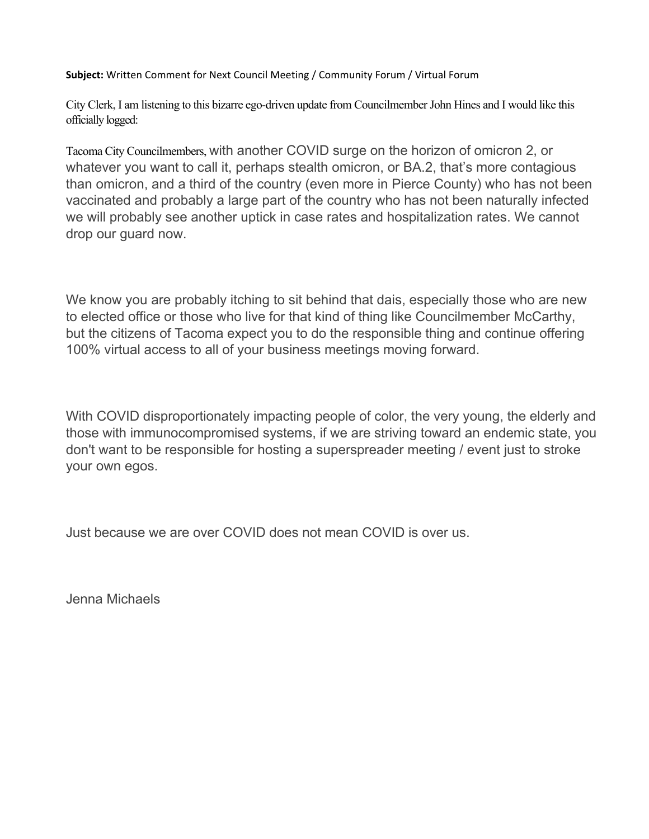**Subject:** Written Comment for Next Council Meeting / Community Forum / Virtual Forum

City Clerk, I am listening to this bizarre ego-driven update from Councilmember John Hines and I would like this officially logged:

Tacoma City Councilmembers, with another COVID surge on the horizon of omicron 2, or whatever you want to call it, perhaps stealth omicron, or BA.2, that's more contagious than omicron, and a third of the country (even more in Pierce County) who has not been vaccinated and probably a large part of the country who has not been naturally infected we will probably see another uptick in case rates and hospitalization rates. We cannot drop our guard now.

We know you are probably itching to sit behind that dais, especially those who are new to elected office or those who live for that kind of thing like Councilmember McCarthy, but the citizens of Tacoma expect you to do the responsible thing and continue offering 100% virtual access to all of your business meetings moving forward.

With COVID disproportionately impacting people of color, the very young, the elderly and those with immunocompromised systems, if we are striving toward an endemic state, you don't want to be responsible for hosting a superspreader meeting / event just to stroke your own egos.

Just because we are over COVID does not mean COVID is over us.

Jenna Michaels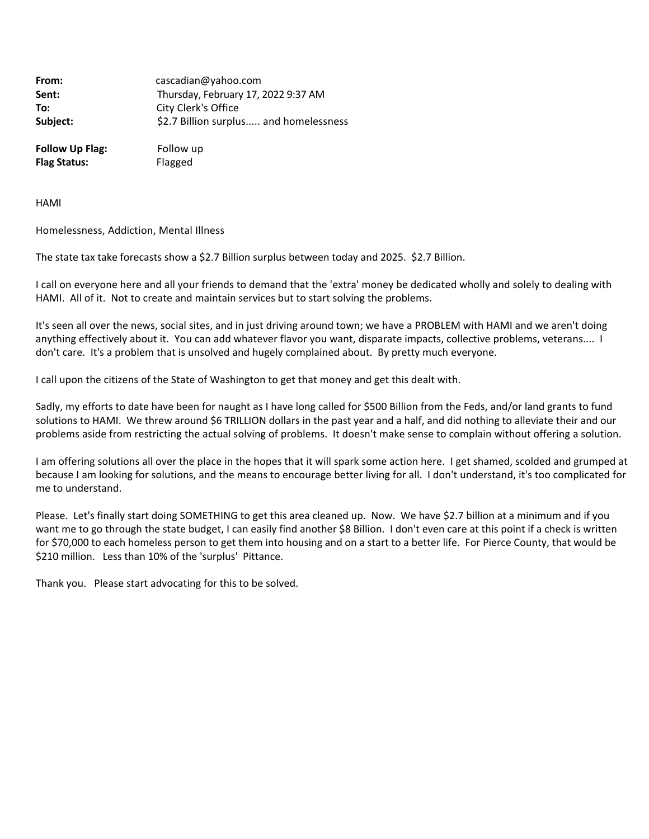| From:    | cascadian@yahoo.com                    |
|----------|----------------------------------------|
| Sent:    | Thursday, February 17, 2022 9:37 AM    |
| To:      | City Clerk's Office                    |
| Subject: | \$2.7 Billion surplus and homelessness |
|          |                                        |

**Follow Up Flag:** Follow up **Flag Status:** Flagged

HAMI

Homelessness, Addiction, Mental Illness

The state tax take forecasts show a \$2.7 Billion surplus between today and 2025. \$2.7 Billion.

I call on everyone here and all your friends to demand that the 'extra' money be dedicated wholly and solely to dealing with HAMI. All of it. Not to create and maintain services but to start solving the problems.

It's seen all over the news, social sites, and in just driving around town; we have a PROBLEM with HAMI and we aren't doing anything effectively about it. You can add whatever flavor you want, disparate impacts, collective problems, veterans.... I don't care. It's a problem that is unsolved and hugely complained about. By pretty much everyone.

I call upon the citizens of the State of Washington to get that money and get this dealt with.

Sadly, my efforts to date have been for naught as I have long called for \$500 Billion from the Feds, and/or land grants to fund solutions to HAMI. We threw around \$6 TRILLION dollars in the past year and a half, and did nothing to alleviate their and our problems aside from restricting the actual solving of problems. It doesn't make sense to complain without offering a solution.

I am offering solutions all over the place in the hopes that it will spark some action here. I get shamed, scolded and grumped at because I am looking for solutions, and the means to encourage better living for all. I don't understand, it's too complicated for me to understand.

Please. Let's finally start doing SOMETHING to get this area cleaned up. Now. We have \$2.7 billion at a minimum and if you want me to go through the state budget, I can easily find another \$8 Billion. I don't even care at this point if a check is written for \$70,000 to each homeless person to get them into housing and on a start to a better life. For Pierce County, that would be \$210 million. Less than 10% of the 'surplus' Pittance.

Thank you. Please start advocating for this to be solved.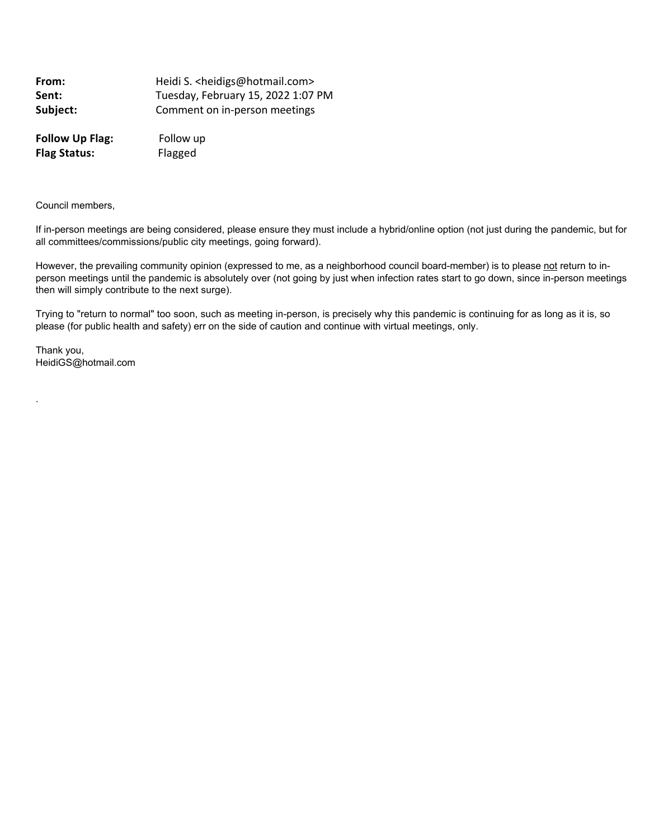**From: Heidi S. <heidigs@hotmail.com> Sent:** Tuesday, February 15, 2022 1:07 PM Subject: **Comment on in-person meetings Follow Up Flag:** Follow up

**Flag Status:** Flagged

Council members,

If in-person meetings are being considered, please ensure they must include a hybrid/online option (not just during the pandemic, but for all committees/commissions/public city meetings, going forward).

However, the prevailing community opinion (expressed to me, as a neighborhood council board-member) is to please not return to inperson meetings until the pandemic is absolutely over (not going by just when infection rates start to go down, since in-person meetings then will simply contribute to the next surge).

Trying to "return to normal" too soon, such as meeting in-person, is precisely why this pandemic is continuing for as long as it is, so please (for public health and safety) err on the side of caution and continue with virtual meetings, only.

Thank you, HeidiGS@hotmail.com

.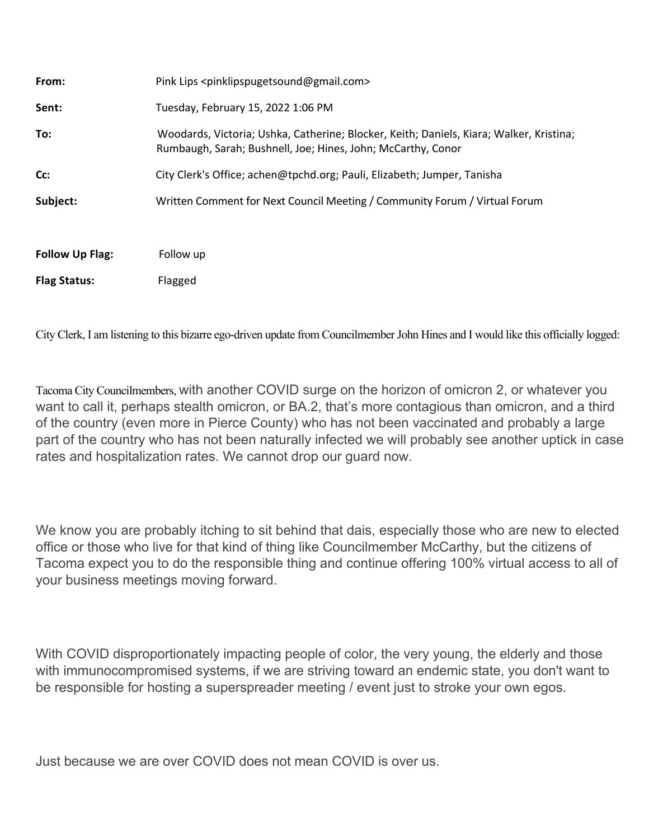| From:                  | Pink Lips <pinklipspugetsound@gmail.com></pinklipspugetsound@gmail.com>                                                                                 |
|------------------------|---------------------------------------------------------------------------------------------------------------------------------------------------------|
| Sent:                  | Tuesday, February 15, 2022 1:06 PM                                                                                                                      |
| To:                    | Woodards, Victoria; Ushka, Catherine; Blocker, Keith; Daniels, Kiara; Walker, Kristina;<br>Rumbaugh, Sarah; Bushnell, Joe; Hines, John; McCarthy, Conor |
| Cc:                    | City Clerk's Office; achen@tpchd.org; Pauli, Elizabeth; Jumper, Tanisha                                                                                 |
| Subject:               | Written Comment for Next Council Meeting / Community Forum / Virtual Forum                                                                              |
| <b>Follow Up Flag:</b> | Follow up                                                                                                                                               |
| <b>Flag Status:</b>    | Flagged                                                                                                                                                 |

City Clerk, I am listening to this bizarre ego-driven update from Councilmember John Hines and I would like this officially logged:

Tacoma City Councilmembers, with another COVID surge on the horizon of omicron 2, or whatever you want to call it, perhaps stealth omicron, or BA.2, that's more contagious than omicron, and a third of the country (even more in Pierce County) who has not been vaccinated and probably a large part of the country who has not been naturally infected we will probably see another uptick in case rates and hospitalization rates. We cannot drop our guard now.

We know you are probably itching to sit behind that dais, especially those who are new to elected office or those who live for that kind of thing like Councilmember McCarthy, but the citizens of Tacoma expect you to do the responsible thing and continue offering 100% virtual access to all of your business meetings moving forward.

With COVID disproportionately impacting people of color, the very young, the elderly and those with immunocompromised systems, if we are striving toward an endemic state, you don't want to be responsible for hosting a superspreader meeting / event just to stroke your own egos.

Just because we are over COVID does not mean COVID is over us.